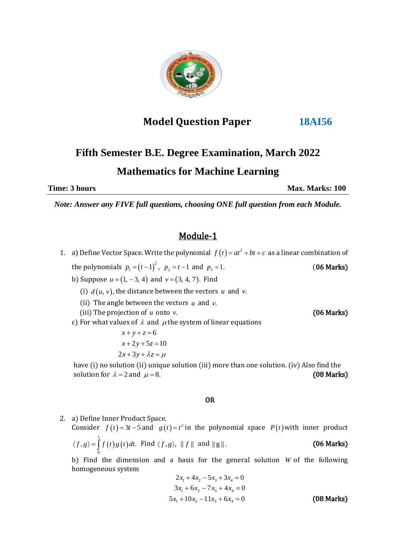

# **Model Question Paper 18AI56**

# **Fifth Semester B.E. Degree Examination, March 2022 Mathematics for Machine Learning**

**Time: 3 hours Max. Marks: 100** 

*Note: Answer any FIVE full questions, choosing ONE full question from each Module.*

# Module-1

- 1. a) Define Vector Space. Write the polynomial  $f(t) = at^2 + bt + c$  as a linear combination of the polynomials  $p_1 = (t-1)^2$ ,  $p_2 = t-1$  and *(06 Marks)*
- b) Suppose  $u = (1, -3, 4)$  and  $v = (3, 4, 7)$ . Find
- (i)  $d(u, v)$ , the distance between the vectors u and v.
- (ii) The angle between the vectors  $u$  and  $v$ .
	- (iii) The projection of *u* onto
- c) For what values of  $\lambda$  and  $\mu$  the system of linear equations

 $x + y + z = 6$  $x + 2y + 5z = 10$  $2x+3y+\lambda z = \mu$ 

 have (i) no solution (ii) unique solution (iii) more than one solution. (iv) Also find the solution for  $\lambda = 2$  and = 8. (08 Marks)

### OR

2. a) Define Inner Product Space.

Consider  $f(t) = 3t - 5$  and  $g(t) = t^2$  in the polynomial space  $P(t)$  with inner product  $(t) g(t)$ 1  $\langle f, g \rangle = \int_{0}^{1} f(t) g(t) dt$ . Find  $\langle f, g \rangle$ ,  $|| f ||$  and (06 Marks)

b) Find the dimension and a basis for the general solution *W* of the following homogeneous system

$$
2x_1 + 4x_2 - 5x_3 + 3x_4 = 0
$$
  
\n
$$
3x_1 + 6x_2 - 7x_3 + 4x_4 = 0
$$
  
\n
$$
5x_1 + 10x_2 - 11x_3 + 6x_4 = 0
$$
 (08 Marks)

*v*. (06 Marks)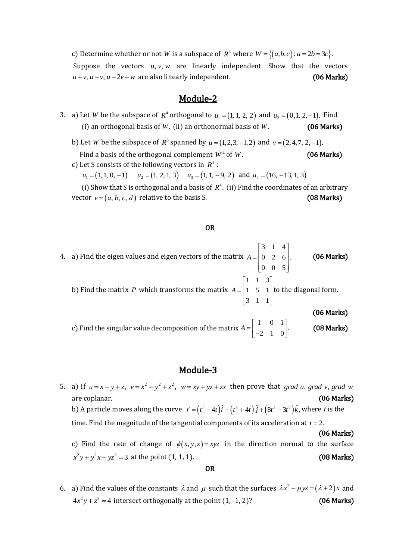c) Determine whether or not *W* is a subspace of  $R^3$  where  $W = \{(a,b,c): a = 2b = 3c\}.$ Suppose the vectors  $u, v, w$  are linearly independent. Show that the vectors  $u + v$ ,  $u - v$ ,  $u - 2v + w$  are also linearly independent. (06 Marks)

## Module-2

- 3. a) Let *W* be the subspace of  $R^4$  orthogonal to  $u_1 = (1, 1, 2, 2)$  and  $u_2 = (0, 1, 2, -1)$ . Find (i) an orthogonal basis of *W*. (ii) an orthonormal basis of *(06 Marks)*
- b) Let *W* be the subspace of  $R^5$  spanned by  $u = (1, 2, 3, -1, 2)$  and  $v = (2, 4, 7, 2, -1)$ . Find a basis of the orthogonal complement  $W^{\perp}$  of *(06 Marks)* 
	- c) Let S consists of the following vectors in  $R^4$  :  $u_1 = (1, 1, 0, -1)$   $u_2 = (1, 2, 1, 3)$   $u_3 = (1, 1, -9, 2)$  and  $u_4 = (16, -13, 1, 3)$

(i) Show that S is orthogonal and a basis of  $R^4$ . (ii) Find the coordinates of an arbitrary vector  $v = (a, b, c, d)$  relative to the basis S. (08 Marks)

#### OR

4. a) Find the eigen values and eigen vectors of the matrix 3 1 4  $0 \t2 \t6$ . 0 0 5 *A*  $|3 \t1 \t4|$  $= 0 2 6$ .  $\begin{bmatrix} 0 & 0 & 5 \end{bmatrix}$  (06 Marks) b) Find the matrix  $P$  which transforms the matrix 1 1 3 1 5 1 3 1 1 *A*  $|1 \t1 \t3|$  $=\begin{vmatrix} 1 & 5 & 1 \end{vmatrix}$ t  $\begin{bmatrix} 3 & 1 & 1 \end{bmatrix}$ to the diagonal form. (06 Marks) c) Find the singular value decomposition of the matrix  $A = \begin{bmatrix} 1 & 0 & 1 \\ -2 & 1 & 0 \end{bmatrix}.$ (08 Marks)

### Module-3

**1000000-5**<br>5. a) If  $u = x + y + z$ ,  $v = x^2 + y^2 + z^2$ ,  $w = xy + yz + zx$  then prove that *grad u*, *grad v*, *grad w* are coplanar. (06 Marks) are coplanar. (**06 Marl**<br>b) A particle moves along the curve  $\vec{r} = (t^3 - 4t)\hat{i} + (t^2 + 4t)\hat{j} + (8t^2 - 3t^3)\hat{k}$ , where *t* is the time. Find the magnitude of the tangential components of its acceleration at  $t = 2$ . (06 Marks) c) Find the rate of change of  $\phi(x, y, z) = xyz$  in the direction normal to the surface  $x^2y + y^2x + yz^2 = 3$  at the point  $(1, 1, 1)$ . (08 Marks)

#### OR

6. a) Find the values of the constants  $\lambda$  and  $\mu$  such that the surfaces  $\lambda x^2 - \mu yz = (\lambda + 2)x$  and  $4x^2y + z^3 = 4$  intersect orthogonally at the point  $(1, -1, 2)$ ? (06 Marks)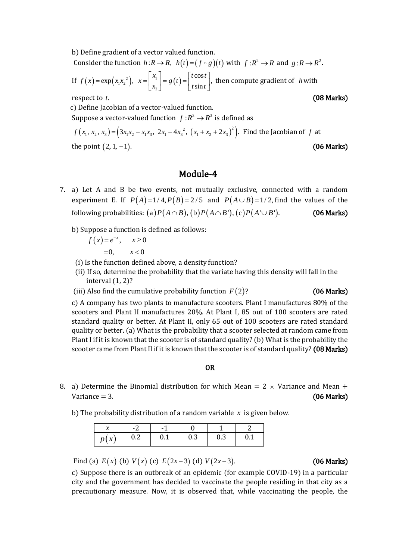b) Define gradient of a vector valued function.

Consider the function  $h: R \to R$ ,  $h(t) = (f \circ g)(t)$  with  $f: R^2 \to R$  and  $g: R \to R^2$ .<br>
If  $f(x) = \exp(x x^2)$ ,  $x = \begin{bmatrix} x_1 \\ x_2 \end{bmatrix} = g(t) = \begin{bmatrix} t \cos t \\ t \end{bmatrix}$ , then compute gradient of h with

If 
$$
f(x) = \exp(x_1x_2^2)
$$
,  $x = \begin{bmatrix} x_1 \\ x_2 \end{bmatrix} = g(t) = \begin{bmatrix} t \cos t \\ t \sin t \end{bmatrix}$ , then compute gradient of *h* with  
respect to *t*. (08 Marks)

respect to  $t$ .

c) Define Jacobian of a vector-valued function.

Suppose a vector-valued function 
$$
f: \mathbb{R}^3 \to \mathbb{R}^3
$$
 is defined as  
\n $f(x_1, x_2, x_3) = (3x_1x_2 + x_1x_3, 2x_1 - 4x_3^2, (x_1 + x_2 + 2x_3)^2)$ . Find the Jacobian of f at  
\nthe point (2, 1, -1). (06 Marks)

# Module-4

- 7. a) Let A and B be two events, not mutually exclusive, connected with a random experiment E. If  $P(A)=1/4, P(B)=2/5$  and  $P(A\cup B)=1/2$ , find the values of the following probabilities: (a)  $P(A\cap B)$ , (b)  $P(A\cap B')$ , (c)  $P(A'\cup B')$ . (06 Marks) following probabilities: (a)  $P(A \cap B)$ , (b)  $P(A \cap B')$ , (c)  $P(A' \cup B')$ .
	- b) Suppose a function is defined as follows:

 $f(x) = e^{-x}, \quad x \ge 0$  $x < 0$ 

(i) Is the function defined above, a density function?

- (ii) If so, determine the probability that the variate having this density will fall in the interval (1, 2)?
- (iii) Also find the cumulative probability function  $F(2)$ ?

#### *(*06 Marks)

c) A company has two plants to manufacture scooters. Plant I manufactures 80% of the scooters and Plant II manufactures 20%. At Plant I, 85 out of 100 scooters are rated standard quality or better. At Plant II, only 65 out of 100 scooters are rated standard quality or better. (a) What is the probability that a scooter selected at random came from Plant I if it is known that the scooter is of standard quality? (b) What is the probability the scooter came from Plant II if it is known that the scooter is of standard quality? (08 Marks)

#### OR

- 8. a) Determine the Binomial distribution for which Mean  $= 2 \times$  Variance and Mean  $+$  $Variance = 3.$  (06 Marks)
- b) The probability distribution of a random variable  $x$  is given below.

| ъе   | $\overline{\phantom{a}}$ | - 1                                         |                                          |             |     |
|------|--------------------------|---------------------------------------------|------------------------------------------|-------------|-----|
| p(x) | 0.2                      | $\begin{array}{cc} \boxed{0.1} \end{array}$ | $\begin{array}{ccc} & 0.3 & \end{array}$ | $\vert$ 0.3 | 0.1 |

Find (a)  $E(x)$  (b)  $V(x)$  (c)  $E(2x-3)$  (d)

# (06 Marks)

c) Suppose there is an outbreak of an epidemic (for example COVID-19) in a particular city and the government has decided to vaccinate the people residing in that city as a precautionary measure. Now, it is observed that, while vaccinating the people, the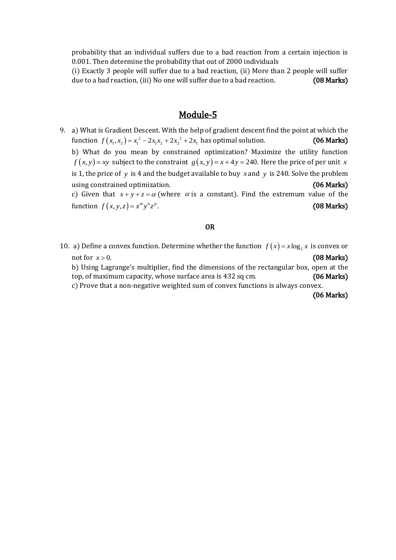probability that an individual suffers due to a bad reaction from a certain injection is 0.001. Then determine the probability that out of 2000 individuals

(i) Exactly 3 people will suffer due to a bad reaction, (ii) More than 2 people will suffer due to a bad reaction, (iii) No one will suffer due to a bad reaction. **(08 Marks)** 

# Module-5

9. a) What is Gradient Descent. With the help of gradient descent find the point at which the a) what is gradient bescent. With the help of gradient descent lind the point at which the<br>function  $f(x_1, x_2) = x_1^2 - 2x_1x_2 + 2x_2^2 + 2x_1$  has optimal solution. (06 Marks) b) What do you mean by constrained optimization? Maximize the utility function  $f(x, y) = xy$  subject to the constraint  $g(x, y) = x + 4y = 240$ . Here the price of per unit x is 1, the price of  $y$  is 4 and the budget available to buy  $x$  and  $y$  is 240. Solve the problem using constrained optimization. (06 Marks) c) Given that  $x + y + z = \alpha$  (where  $\alpha$  is a constant). Find the extremum value of the function  $f(x, y, z) = x^m y^n z^p$ . (08 Marks)

#### OR

10. a) Define a convex function. Determine whether the function  $f(x) = x \log_2 x$  is convex or not for  $x > 0$ . (08 Marks) b) Using Lagrange's multiplier, find the dimensions of the rectangular box, open at the top, of maximum capacity, whose surface area is 432 sq cm. (06 Marks) c) Prove that a non-negative weighted sum of convex functions is always convex.

(06 Marks)